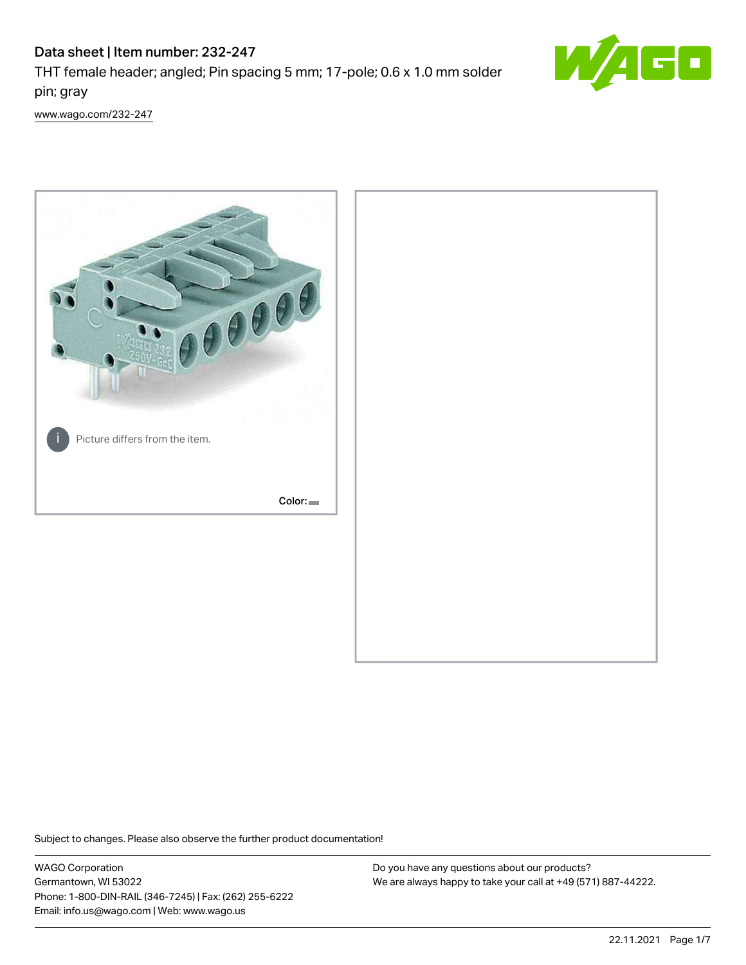# Data sheet | Item number: 232-247

THT female header; angled; Pin spacing 5 mm; 17-pole; 0.6 x 1.0 mm solder pin; gray



[www.wago.com/232-247](http://www.wago.com/232-247)



Subject to changes. Please also observe the further product documentation!

WAGO Corporation Germantown, WI 53022 Phone: 1-800-DIN-RAIL (346-7245) | Fax: (262) 255-6222 Email: info.us@wago.com | Web: www.wago.us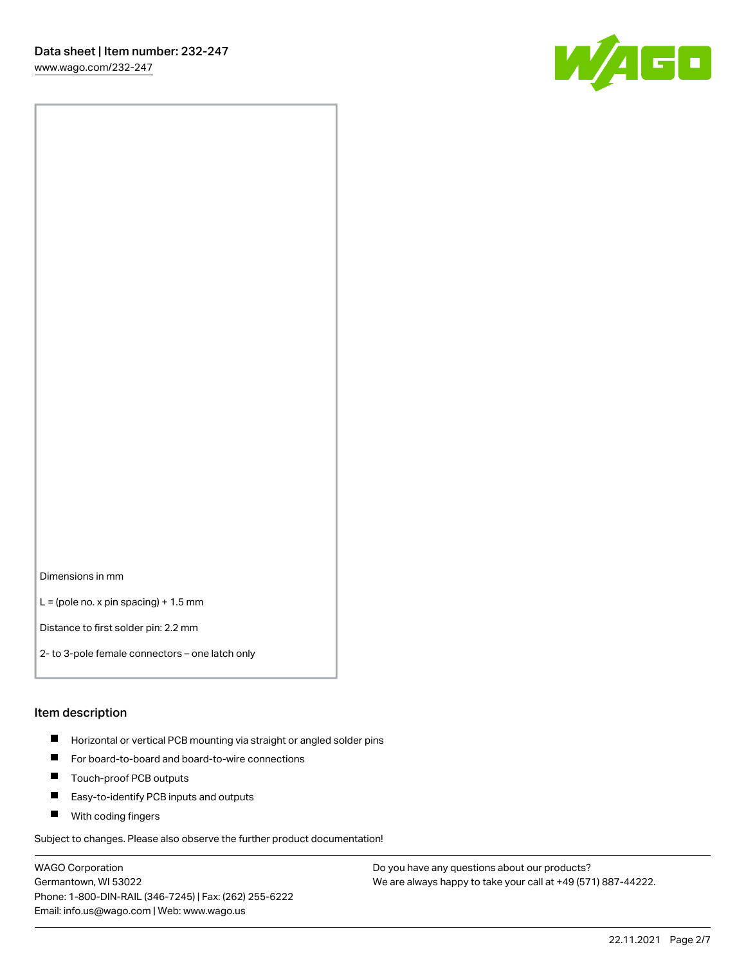[www.wago.com/232-247](http://www.wago.com/232-247)



Dimensions in mm

 $L =$  (pole no. x pin spacing) + 1.5 mm

Distance to first solder pin: 2.2 mm

2- to 3-pole female connectors – one latch only

#### Item description

- **Horizontal or vertical PCB mounting via straight or angled solder pins**
- For board-to-board and board-to-wire connections
- $\blacksquare$ Touch-proof PCB outputs
- $\blacksquare$ Easy-to-identify PCB inputs and outputs
- **Now With coding fingers**

Subject to changes. Please also observe the further product documentation!

WAGO Corporation Germantown, WI 53022 Phone: 1-800-DIN-RAIL (346-7245) | Fax: (262) 255-6222 Email: info.us@wago.com | Web: www.wago.us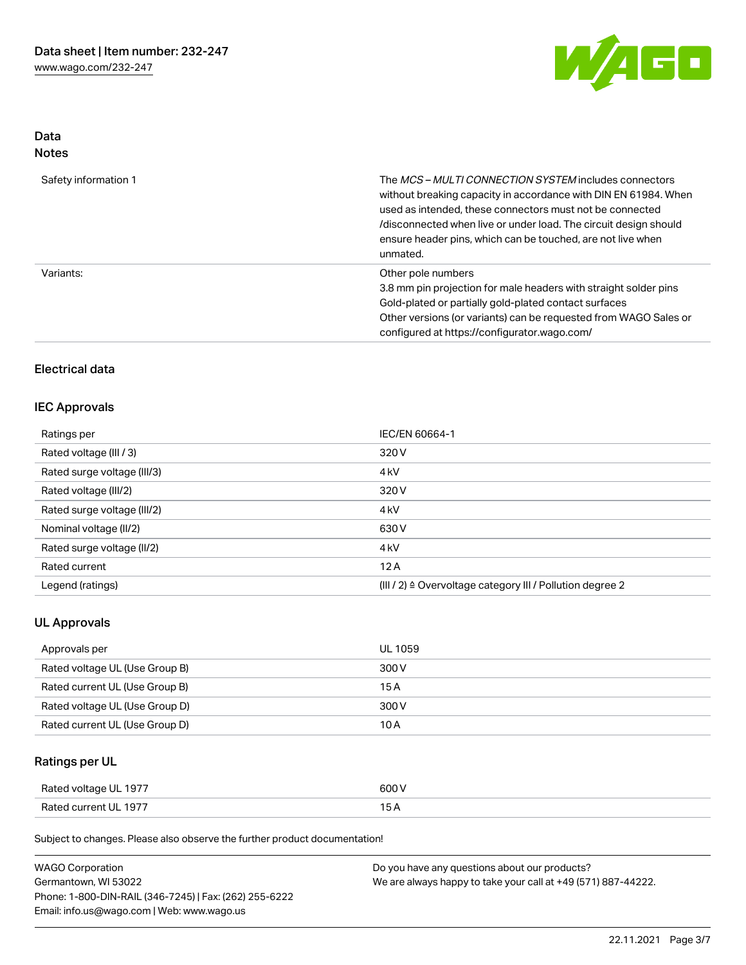

### Data Notes

| Safety information 1 | The <i>MCS – MULTI CONNECTION SYSTEM</i> includes connectors<br>without breaking capacity in accordance with DIN EN 61984. When<br>used as intended, these connectors must not be connected<br>/disconnected when live or under load. The circuit design should<br>ensure header pins, which can be touched, are not live when<br>unmated. |
|----------------------|--------------------------------------------------------------------------------------------------------------------------------------------------------------------------------------------------------------------------------------------------------------------------------------------------------------------------------------------|
| Variants:            | Other pole numbers<br>3.8 mm pin projection for male headers with straight solder pins<br>Gold-plated or partially gold-plated contact surfaces<br>Other versions (or variants) can be requested from WAGO Sales or<br>configured at https://configurator.wago.com/                                                                        |

# Electrical data

### IEC Approvals

| Ratings per                 | IEC/EN 60664-1                                                       |
|-----------------------------|----------------------------------------------------------------------|
| Rated voltage (III / 3)     | 320 V                                                                |
| Rated surge voltage (III/3) | 4 <sub>k</sub> V                                                     |
| Rated voltage (III/2)       | 320 V                                                                |
| Rated surge voltage (III/2) | 4 <sub>k</sub> V                                                     |
| Nominal voltage (II/2)      | 630 V                                                                |
| Rated surge voltage (II/2)  | 4 <sub>k</sub> V                                                     |
| Rated current               | 12A                                                                  |
| Legend (ratings)            | (III / 2) $\triangleq$ Overvoltage category III / Pollution degree 2 |

## UL Approvals

| Approvals per                  | <b>UL 1059</b> |
|--------------------------------|----------------|
| Rated voltage UL (Use Group B) | 300 V          |
| Rated current UL (Use Group B) | 15 A           |
| Rated voltage UL (Use Group D) | 300 V          |
| Rated current UL (Use Group D) | 10 A           |

# Ratings per UL

| Rated voltage UL 1977 | 600 V |
|-----------------------|-------|
| Rated current UL 1977 |       |

Subject to changes. Please also observe the further product documentation!

| <b>WAGO Corporation</b>                                | Do you have any questions about our products?                 |
|--------------------------------------------------------|---------------------------------------------------------------|
| Germantown, WI 53022                                   | We are always happy to take your call at +49 (571) 887-44222. |
| Phone: 1-800-DIN-RAIL (346-7245)   Fax: (262) 255-6222 |                                                               |
| Email: info.us@wago.com   Web: www.wago.us             |                                                               |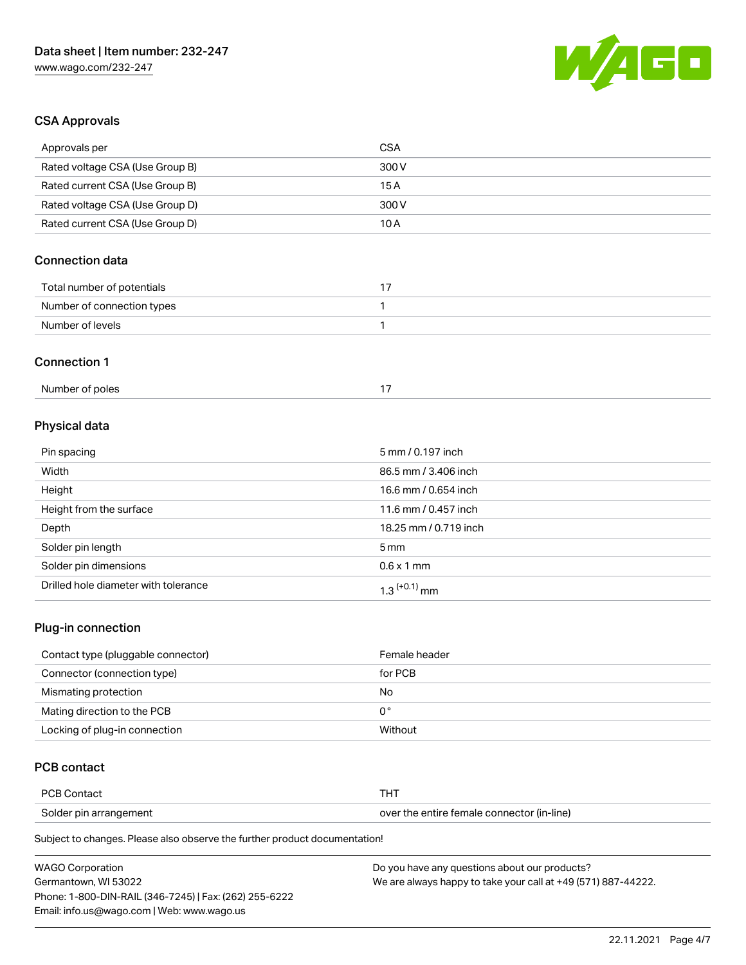

## CSA Approvals

| Approvals per                   | <b>CSA</b>            |
|---------------------------------|-----------------------|
| Rated voltage CSA (Use Group B) | 300 V                 |
| Rated current CSA (Use Group B) | 15A                   |
| Rated voltage CSA (Use Group D) | 300 V                 |
| Rated current CSA (Use Group D) | 10A                   |
| <b>Connection data</b>          |                       |
| Total number of potentials      | 17                    |
| Number of connection types      | 1                     |
| Number of levels                | 1                     |
| <b>Connection 1</b>             |                       |
| Number of poles                 | 17                    |
| Physical data                   |                       |
| Pin spacing                     | 5 mm / 0.197 inch     |
| Width                           | 86.5 mm / 3.406 inch  |
| Height                          | 16.6 mm / 0.654 inch  |
| Height from the surface         | 11.6 mm / 0.457 inch  |
| Depth                           | 18.25 mm / 0.719 inch |
| Solder pin length               | 5 <sub>mm</sub>       |

| ooraar pirriangan                    | _______                    |
|--------------------------------------|----------------------------|
| Solder pin dimensions                | $0.6 \times 1$ mm          |
| Drilled hole diameter with tolerance | $1.3$ <sup>(+0.1)</sup> mm |
|                                      |                            |

# Plug-in connection

| Contact type (pluggable connector) | Female header |
|------------------------------------|---------------|
| Connector (connection type)        | for PCB       |
| Mismating protection               | No            |
| Mating direction to the PCB        | 0°            |
| Locking of plug-in connection      | Without       |

# PCB contact

| <b>PCB Contact</b>     | п.                                         |
|------------------------|--------------------------------------------|
| Solder pin arrangement | over the entire female connector (in-line) |

Subject to changes. Please also observe the further product documentation!

| <b>WAGO Corporation</b>                                | Do you have any questions about our products?                 |
|--------------------------------------------------------|---------------------------------------------------------------|
| Germantown, WI 53022                                   | We are always happy to take your call at +49 (571) 887-44222. |
| Phone: 1-800-DIN-RAIL (346-7245)   Fax: (262) 255-6222 |                                                               |
| Email: info.us@wago.com   Web: www.wago.us             |                                                               |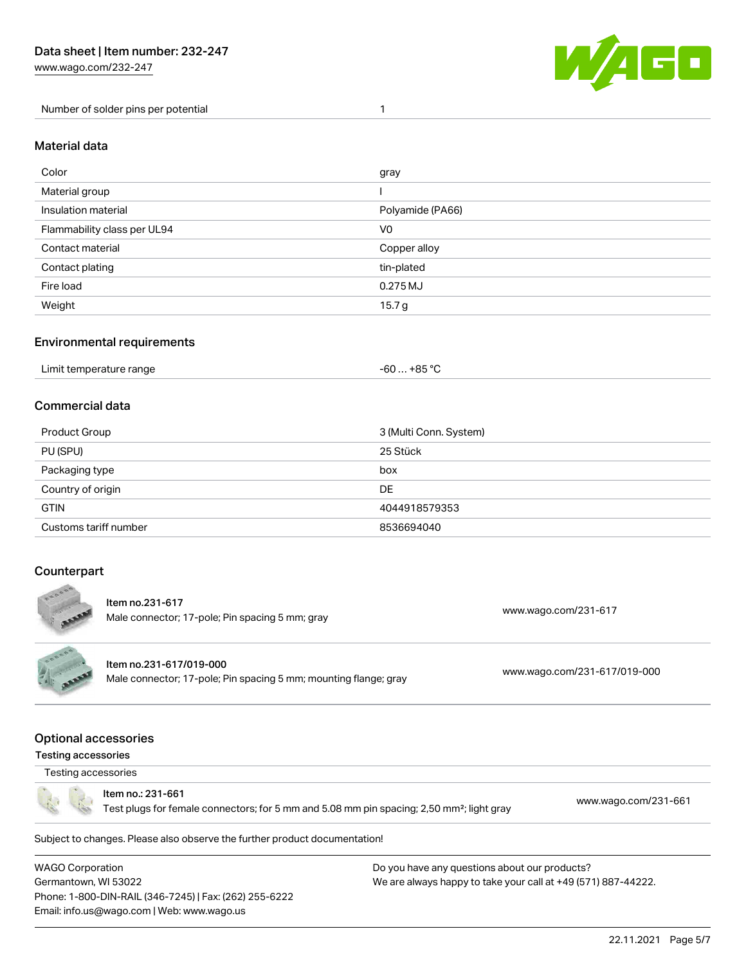[www.wago.com/232-247](http://www.wago.com/232-247)

Number of solder pins per potential 1



#### Material data

| Color                       | gray              |
|-----------------------------|-------------------|
| Material group              |                   |
| Insulation material         | Polyamide (PA66)  |
| Flammability class per UL94 | V <sub>0</sub>    |
| Contact material            | Copper alloy      |
| Contact plating             | tin-plated        |
| Fire load                   | 0.275MJ           |
| Weight                      | 15.7 <sub>g</sub> |

### Environmental requirements

| Limit temperature range | . +85 °C<br>-60 |  |
|-------------------------|-----------------|--|
|-------------------------|-----------------|--|

#### Commercial data

| Product Group         | 3 (Multi Conn. System) |
|-----------------------|------------------------|
| PU (SPU)              | 25 Stück               |
| Packaging type        | box                    |
| Country of origin     | DE                     |
| <b>GTIN</b>           | 4044918579353          |
| Customs tariff number | 8536694040             |

### **Counterpart**





Item no.: 231-661

Test plugs for female connectors; for 5 mm and 5.08 mm pin spacing; 2,50 mm²; light gray [www.wago.com/231-661](http://www.wago.com/231-661)

Subject to changes. Please also observe the further product documentation!

WAGO Corporation Germantown, WI 53022 Phone: 1-800-DIN-RAIL (346-7245) | Fax: (262) 255-6222 Email: info.us@wago.com | Web: www.wago.us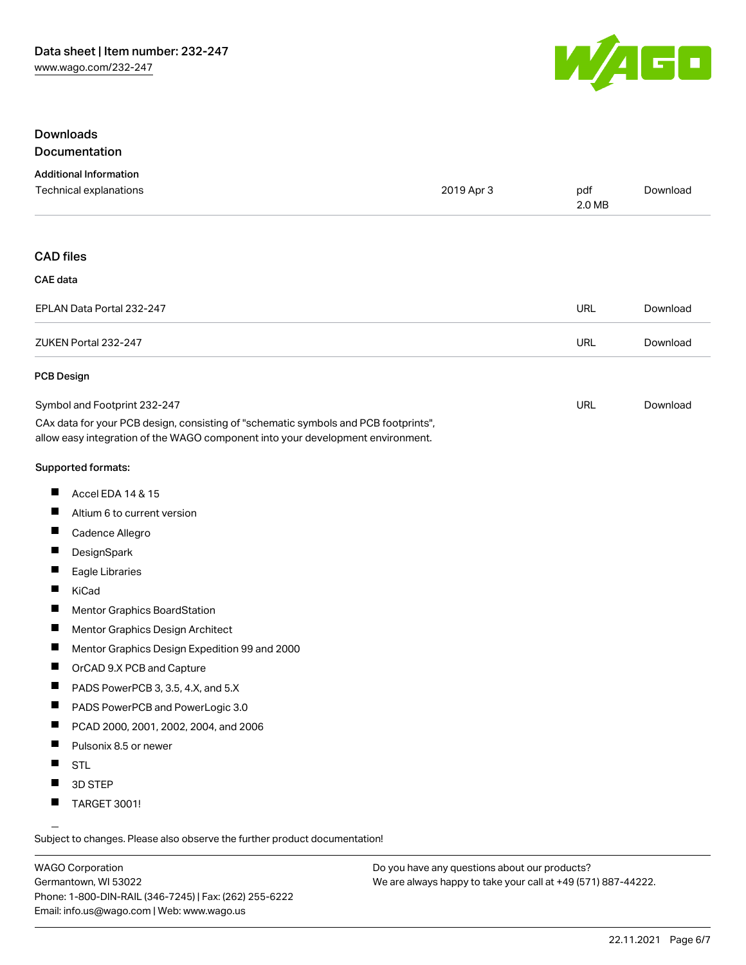

### Downloads **Documentation**

#### Additional Information

| Technical explanations                                                                                                                                                 | 2019 Apr 3 | pdf<br>2.0 MB | Download |
|------------------------------------------------------------------------------------------------------------------------------------------------------------------------|------------|---------------|----------|
| <b>CAD</b> files                                                                                                                                                       |            |               |          |
| <b>CAE</b> data                                                                                                                                                        |            |               |          |
| EPLAN Data Portal 232-247                                                                                                                                              |            | URL           | Download |
| ZUKEN Portal 232-247                                                                                                                                                   |            | <b>URL</b>    | Download |
| <b>PCB Design</b>                                                                                                                                                      |            |               |          |
| Symbol and Footprint 232-247                                                                                                                                           |            | <b>URL</b>    | Download |
| CAx data for your PCB design, consisting of "schematic symbols and PCB footprints",<br>allow easy integration of the WAGO component into your development environment. |            |               |          |
| Supported formats:                                                                                                                                                     |            |               |          |
| $\blacksquare$<br>Accel EDA 14 & 15                                                                                                                                    |            |               |          |
| Altium 6 to current version                                                                                                                                            |            |               |          |
| П<br>Cadence Allegro                                                                                                                                                   |            |               |          |
| ш<br>DesignSpark                                                                                                                                                       |            |               |          |
| ш<br>Eagle Libraries                                                                                                                                                   |            |               |          |
| Ш<br>KiCad                                                                                                                                                             |            |               |          |
| ш<br><b>Mentor Graphics BoardStation</b>                                                                                                                               |            |               |          |
| Ш<br>Mentor Graphics Design Architect                                                                                                                                  |            |               |          |
| ш<br>Mentor Graphics Design Expedition 99 and 2000                                                                                                                     |            |               |          |
| Ш<br>OrCAD 9.X PCB and Capture                                                                                                                                         |            |               |          |
| Ш<br>PADS PowerPCB 3, 3.5, 4.X, and 5.X                                                                                                                                |            |               |          |
| Ц<br>PADS PowerPCB and PowerLogic 3.0                                                                                                                                  |            |               |          |
| ш<br>PCAD 2000, 2001, 2002, 2004, and 2006                                                                                                                             |            |               |          |
| ш<br>Pulsonix 8.5 or newer                                                                                                                                             |            |               |          |
| <b>STL</b>                                                                                                                                                             |            |               |          |
| 3D STEP                                                                                                                                                                |            |               |          |
| ш<br>TARGET 3001!                                                                                                                                                      |            |               |          |

Subject to changes. Please also observe the further product documentation!

WAGO Corporation Germantown, WI 53022 Phone: 1-800-DIN-RAIL (346-7245) | Fax: (262) 255-6222 Email: info.us@wago.com | Web: www.wago.us